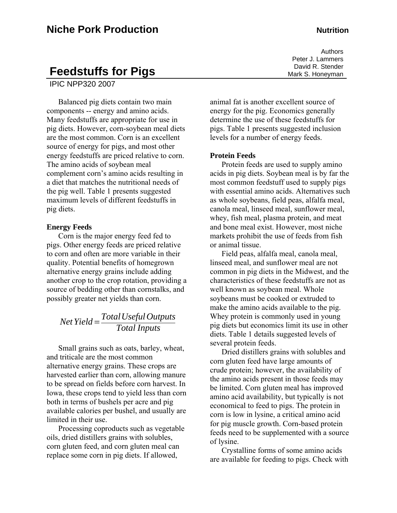# **Feedstuffs for Pigs**

IPIC NPP320 2007

Balanced pig diets contain two main components -- energy and amino acids. Many feedstuffs are appropriate for use in pig diets. However, corn-soybean meal diets are the most common. Corn is an excellent source of energy for pigs, and most other energy feedstuffs are priced relative to corn. The amino acids of soybean meal complement corn's amino acids resulting in a diet that matches the nutritional needs of the pig well. Table 1 presents suggested maximum levels of different feedstuffs in pig diets.

#### **Energy Feeds**

Corn is the major energy feed fed to pigs. Other energy feeds are priced relative to corn and often are more variable in their quality. Potential benefits of homegrown alternative energy grains include adding another crop to the crop rotation, providing a source of bedding other than cornstalks, and possibly greater net yields than corn.

*Total Inputs Net Yield* =  $\frac{TotalUseful~OutputStream}{T + 1}$ 

Small grains such as oats, barley, wheat, and triticale are the most common alternative energy grains. These crops are harvested earlier than corn, allowing manure to be spread on fields before corn harvest. In Iowa, these crops tend to yield less than corn both in terms of bushels per acre and pig available calories per bushel, and usually are limited in their use.

Processing coproducts such as vegetable oils, dried distillers grains with solubles, corn gluten feed, and corn gluten meal can replace some corn in pig diets. If allowed,

animal fat is another excellent source of energy for the pig. Economics generally determine the use of these feedstuffs for pigs. Table 1 presents suggested inclusion levels for a number of energy feeds.

#### **Protein Feeds**

Protein feeds are used to supply amino acids in pig diets. Soybean meal is by far the most common feedstuff used to supply pigs with essential amino acids. Alternatives such as whole soybeans, field peas, alfalfa meal, canola meal, linseed meal, sunflower meal, whey, fish meal, plasma protein, and meat and bone meal exist. However, most niche markets prohibit the use of feeds from fish or animal tissue.

Field peas, alfalfa meal, canola meal, linseed meal, and sunflower meal are not common in pig diets in the Midwest, and the characteristics of these feedstuffs are not as well known as soybean meal. Whole soybeans must be cooked or extruded to make the amino acids available to the pig. Whey protein is commonly used in young pig diets but economics limit its use in other diets. Table 1 details suggested levels of several protein feeds.

Dried distillers grains with solubles and corn gluten feed have large amounts of crude protein; however, the availability of the amino acids present in those feeds may be limited. Corn gluten meal has improved amino acid availability, but typically is not economical to feed to pigs. The protein in corn is low in lysine, a critical amino acid for pig muscle growth. Corn-based protein feeds need to be supplemented with a source of lysine.

Crystalline forms of some amino acids are available for feeding to pigs. Check with

Authors Peter J. Lammers David R. Stender Mark S. Honeyman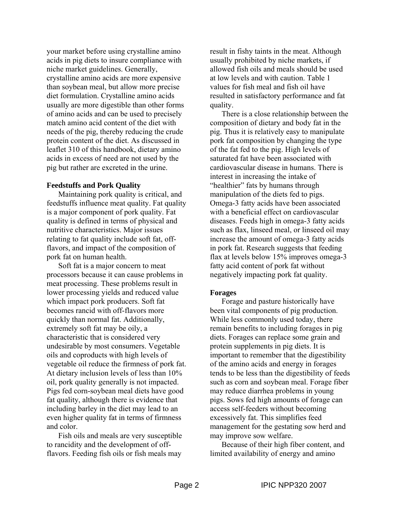your market before using crystalline amino acids in pig diets to insure compliance with niche market guidelines. Generally, crystalline amino acids are more expensive than soybean meal, but allow more precise diet formulation. Crystalline amino acids usually are more digestible than other forms of amino acids and can be used to precisely match amino acid content of the diet with needs of the pig, thereby reducing the crude protein content of the diet. As discussed in leaflet 310 of this handbook, dietary amino acids in excess of need are not used by the pig but rather are excreted in the urine.

### **Feedstuffs and Pork Quality**

Maintaining pork quality is critical, and feedstuffs influence meat quality. Fat quality is a major component of pork quality. Fat quality is defined in terms of physical and nutritive characteristics. Major issues relating to fat quality include soft fat, offflavors, and impact of the composition of pork fat on human health.

Soft fat is a major concern to meat processors because it can cause problems in meat processing. These problems result in lower processing yields and reduced value which impact pork producers. Soft fat becomes rancid with off-flavors more quickly than normal fat. Additionally, extremely soft fat may be oily, a characteristic that is considered very undesirable by most consumers. Vegetable oils and coproducts with high levels of vegetable oil reduce the firmness of pork fat. At dietary inclusion levels of less than 10% oil, pork quality generally is not impacted. Pigs fed corn-soybean meal diets have good fat quality, although there is evidence that including barley in the diet may lead to an even higher quality fat in terms of firmness and color.

Fish oils and meals are very susceptible to rancidity and the development of offflavors. Feeding fish oils or fish meals may

result in fishy taints in the meat. Although usually prohibited by niche markets, if allowed fish oils and meals should be used at low levels and with caution. Table 1 values for fish meal and fish oil have resulted in satisfactory performance and fat quality.

There is a close relationship between the composition of dietary and body fat in the pig. Thus it is relatively easy to manipulate pork fat composition by changing the type of the fat fed to the pig. High levels of saturated fat have been associated with cardiovascular disease in humans. There is interest in increasing the intake of "healthier" fats by humans through manipulation of the diets fed to pigs. Omega-3 fatty acids have been associated with a beneficial effect on cardiovascular diseases. Feeds high in omega-3 fatty acids such as flax, linseed meal, or linseed oil may increase the amount of omega-3 fatty acids in pork fat. Research suggests that feeding flax at levels below 15% improves omega-3 fatty acid content of pork fat without negatively impacting pork fat quality.

### **Forages**

Forage and pasture historically have been vital components of pig production. While less commonly used today, there remain benefits to including forages in pig diets. Forages can replace some grain and protein supplements in pig diets. It is important to remember that the digestibility of the amino acids and energy in forages tends to be less than the digestibility of feeds such as corn and soybean meal. Forage fiber may reduce diarrhea problems in young pigs. Sows fed high amounts of forage can access self-feeders without becoming excessively fat. This simplifies feed management for the gestating sow herd and may improve sow welfare.

Because of their high fiber content, and limited availability of energy and amino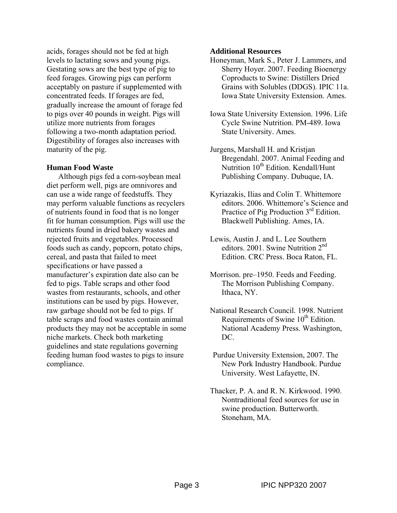acids, forages should not be fed at high levels to lactating sows and young pigs. Gestating sows are the best type of pig to feed forages. Growing pigs can perform acceptably on pasture if supplemented with concentrated feeds. If forages are fed, gradually increase the amount of forage fed to pigs over 40 pounds in weight. Pigs will utilize more nutrients from forages following a two-month adaptation period. Digestibility of forages also increases with maturity of the pig.

### **Human Food Waste**

Although pigs fed a corn-soybean meal diet perform well, pigs are omnivores and can use a wide range of feedstuffs. They may perform valuable functions as recyclers of nutrients found in food that is no longer fit for human consumption. Pigs will use the nutrients found in dried bakery wastes and rejected fruits and vegetables. Processed foods such as candy, popcorn, potato chips, cereal, and pasta that failed to meet specifications or have passed a manufacturer's expiration date also can be fed to pigs. Table scraps and other food wastes from restaurants, schools, and other institutions can be used by pigs. However, raw garbage should not be fed to pigs. If table scraps and food wastes contain animal products they may not be acceptable in some niche markets. Check both marketing guidelines and state regulations governing feeding human food wastes to pigs to insure compliance.

#### **Additional Resources**

- Honeyman, Mark S., Peter J. Lammers, and Sherry Hoyer. 2007. Feeding Bioenergy Coproducts to Swine: Distillers Dried Grains with Solubles (DDGS). IPIC 11a. Iowa State University Extension. Ames.
- Iowa State University Extension. 1996. Life Cycle Swine Nutrition. PM-489. Iowa State University. Ames.
- Jurgens, Marshall H. and Kristjan Bregendahl. 2007. Animal Feeding and Nutrition  $10<sup>th</sup>$  Edition. Kendall/Hunt Publishing Company. Dubuque, IA.
- Kyriazakis, Ilias and Colin T. Whittemore editors. 2006. Whittemore's Science and Practice of Pig Production 3<sup>rd</sup> Edition. Blackwell Publishing. Ames, IA.
- Lewis, Austin J. and L. Lee Southern editors. 2001. Swine Nutrition 2<sup>nd</sup> Edition. CRC Press. Boca Raton, FL.
- Morrison. pre–1950. Feeds and Feeding. The Morrison Publishing Company. Ithaca, NY.
- National Research Council. 1998. Nutrient Requirements of Swine 10<sup>th</sup> Edition. National Academy Press. Washington, DC.
- Purdue University Extension, 2007. The New Pork Industry Handbook. Purdue University. West Lafayette, IN.
- Thacker, P. A. and R. N. Kirkwood. 1990. Nontraditional feed sources for use in swine production. Butterworth. Stoneham, MA.